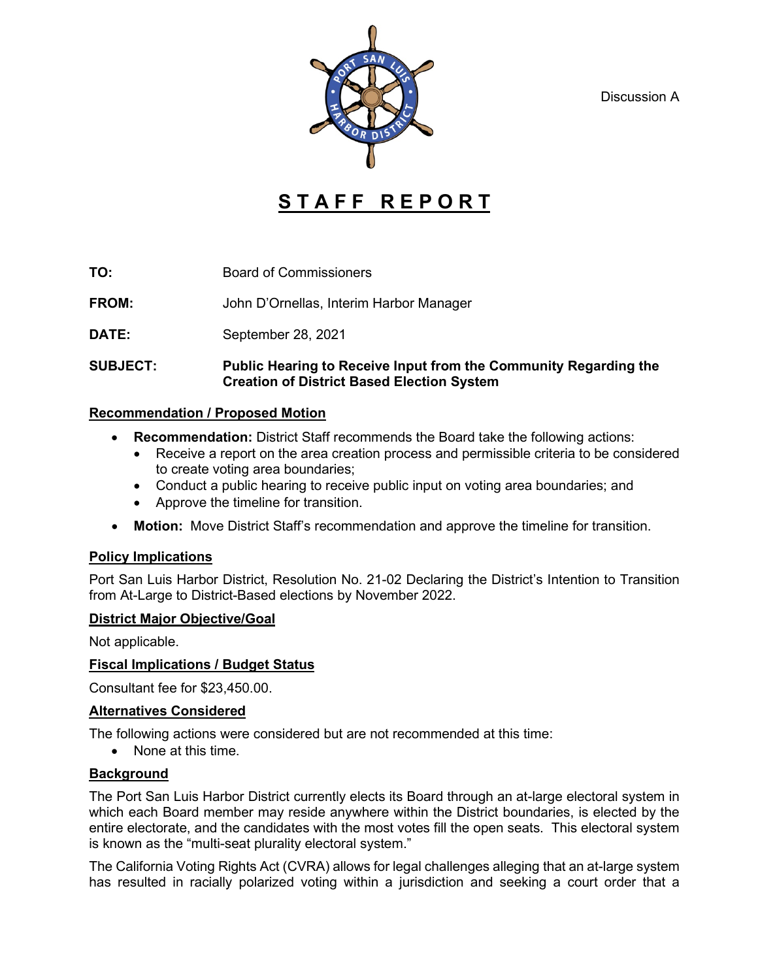Discussion A



# **S T A F F R E P O R T**

**TO:** Board of Commissioners

**FROM:** John D'Ornellas, Interim Harbor Manager

**DATE:** September 28, 2021

#### **SUBJECT: Public Hearing to Receive Input from the Community Regarding the Creation of District Based Election System**

#### **Recommendation / Proposed Motion**

- **Recommendation:** District Staff recommends the Board take the following actions:
	- Receive a report on the area creation process and permissible criteria to be considered to create voting area boundaries;
	- Conduct a public hearing to receive public input on voting area boundaries; and
	- Approve the timeline for transition.
- **Motion:** Move District Staff's recommendation and approve the timeline for transition.

## **Policy Implications**

Port San Luis Harbor District, Resolution No. 21-02 Declaring the District's Intention to Transition from At-Large to District-Based elections by November 2022.

## **District Major Objective/Goal**

Not applicable.

## **Fiscal Implications / Budget Status**

Consultant fee for \$23,450.00.

## **Alternatives Considered**

The following actions were considered but are not recommended at this time:

• None at this time.

## **Background**

The Port San Luis Harbor District currently elects its Board through an at-large electoral system in which each Board member may reside anywhere within the District boundaries, is elected by the entire electorate, and the candidates with the most votes fill the open seats. This electoral system is known as the "multi-seat plurality electoral system."

The California Voting Rights Act (CVRA) allows for legal challenges alleging that an at-large system has resulted in racially polarized voting within a jurisdiction and seeking a court order that a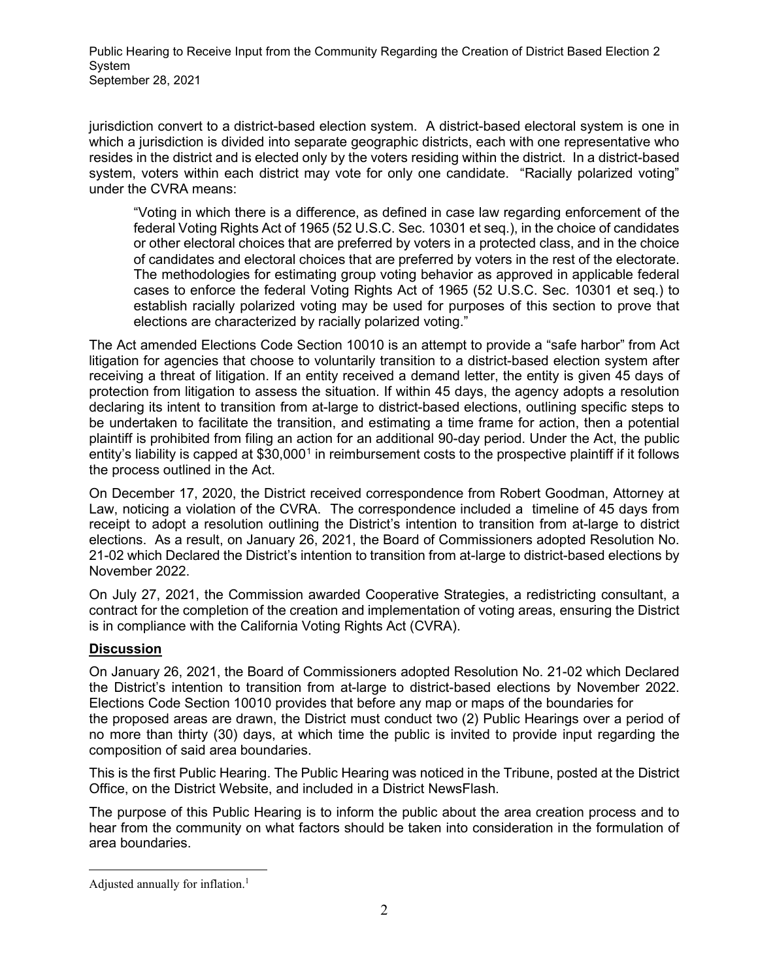Public Hearing to Receive Input from the Community Regarding the Creation of District Based Election 2 System September 28, 2021

jurisdiction convert to a district-based election system. A district-based electoral system is one in which a jurisdiction is divided into separate geographic districts, each with one representative who resides in the district and is elected only by the voters residing within the district. In a district-based system, voters within each district may vote for only one candidate. "Racially polarized voting" under the CVRA means:

"Voting in which there is a difference, as defined in case law regarding enforcement of the federal Voting Rights Act of 1965 (52 U.S.C. Sec. 10301 et seq.), in the choice of candidates or other electoral choices that are preferred by voters in a protected class, and in the choice of candidates and electoral choices that are preferred by voters in the rest of the electorate. The methodologies for estimating group voting behavior as approved in applicable federal cases to enforce the federal Voting Rights Act of 1965 (52 U.S.C. Sec. 10301 et seq.) to establish racially polarized voting may be used for purposes of this section to prove that elections are characterized by racially polarized voting."

The Act amended Elections Code Section 10010 is an attempt to provide a "safe harbor" from Act litigation for agencies that choose to voluntarily transition to a district-based election system after receiving a threat of litigation. If an entity received a demand letter, the entity is given 45 days of protection from litigation to assess the situation. If within 45 days, the agency adopts a resolution declaring its intent to transition from at-large to district-based elections, outlining specific steps to be undertaken to facilitate the transition, and estimating a time frame for action, then a potential plaintiff is prohibited from filing an action for an additional 90-day period. Under the Act, the public entity's liability is capped at \$30,000<sup>[1](#page-1-0)</sup> in reimbursement costs to the prospective plaintiff if it follows the process outlined in the Act.

On December 17, 2020, the District received correspondence from Robert Goodman, Attorney at Law, noticing a violation of the CVRA. The correspondence included a timeline of 45 days from receipt to adopt a resolution outlining the District's intention to transition from at-large to district elections. As a result, on January 26, 2021, the Board of Commissioners adopted Resolution No. 21-02 which Declared the District's intention to transition from at-large to district-based elections by November 2022.

On July 27, 2021, the Commission awarded Cooperative Strategies, a redistricting consultant, a contract for the completion of the creation and implementation of voting areas, ensuring the District is in compliance with the California Voting Rights Act (CVRA).

## **Discussion**

On January 26, 2021, the Board of Commissioners adopted Resolution No. 21-02 which Declared the District's intention to transition from at-large to district-based elections by November 2022. Elections Code Section 10010 provides that before any map or maps of the boundaries for the proposed areas are drawn, the District must conduct two (2) Public Hearings over a period of no more than thirty (30) days, at which time the public is invited to provide input regarding the composition of said area boundaries.

This is the first Public Hearing. The Public Hearing was noticed in the Tribune, posted at the District Office, on the District Website, and included in a District NewsFlash.

The purpose of this Public Hearing is to inform the public about the area creation process and to hear from the community on what factors should be taken into consideration in the formulation of area boundaries.

<span id="page-1-0"></span>Adjusted annually for inflation.<sup>1</sup>